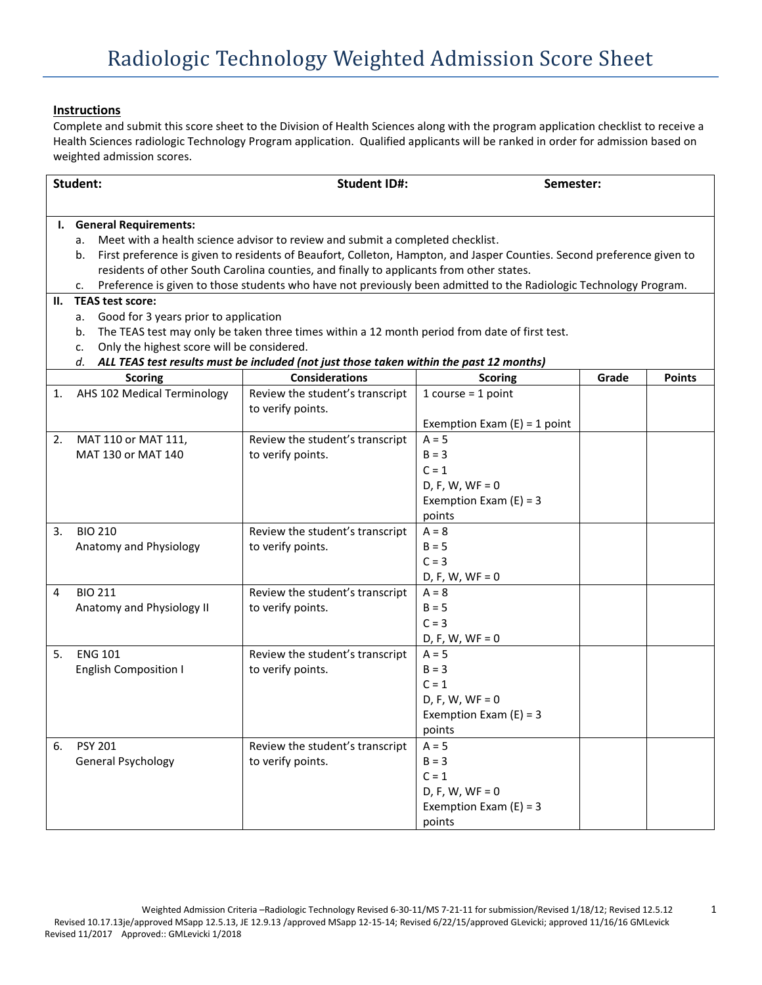## **Instructions**

Complete and submit this score sheet to the Division of Health Sciences along with the program application checklist to receive a Health Sciences radiologic Technology Program application. Qualified applicants will be ranked in order for admission based on weighted admission scores.

| Student: |                                                                                                                         | <b>Student ID#:</b>                                                                                                                   |                                | Semester: |               |  |  |  |  |  |
|----------|-------------------------------------------------------------------------------------------------------------------------|---------------------------------------------------------------------------------------------------------------------------------------|--------------------------------|-----------|---------------|--|--|--|--|--|
|          |                                                                                                                         |                                                                                                                                       |                                |           |               |  |  |  |  |  |
|          | I. General Requirements:                                                                                                |                                                                                                                                       |                                |           |               |  |  |  |  |  |
|          | a.                                                                                                                      | Meet with a health science advisor to review and submit a completed checklist.                                                        |                                |           |               |  |  |  |  |  |
|          | b.                                                                                                                      | First preference is given to residents of Beaufort, Colleton, Hampton, and Jasper Counties. Second preference given to                |                                |           |               |  |  |  |  |  |
|          | residents of other South Carolina counties, and finally to applicants from other states.                                |                                                                                                                                       |                                |           |               |  |  |  |  |  |
|          | Preference is given to those students who have not previously been admitted to the Radiologic Technology Program.<br>c. |                                                                                                                                       |                                |           |               |  |  |  |  |  |
| Н.       | <b>TEAS test score:</b>                                                                                                 |                                                                                                                                       |                                |           |               |  |  |  |  |  |
|          | а.                                                                                                                      | Good for 3 years prior to application                                                                                                 |                                |           |               |  |  |  |  |  |
|          | b.                                                                                                                      | The TEAS test may only be taken three times within a 12 month period from date of first test.                                         |                                |           |               |  |  |  |  |  |
|          | c.                                                                                                                      | Only the highest score will be considered.<br>ALL TEAS test results must be included (not just those taken within the past 12 months) |                                |           |               |  |  |  |  |  |
|          | d.<br><b>Scoring</b>                                                                                                    | <b>Considerations</b>                                                                                                                 | <b>Scoring</b>                 | Grade     | <b>Points</b> |  |  |  |  |  |
| 1.       | AHS 102 Medical Terminology                                                                                             | Review the student's transcript                                                                                                       | $1 course = 1 point$           |           |               |  |  |  |  |  |
|          |                                                                                                                         | to verify points.                                                                                                                     |                                |           |               |  |  |  |  |  |
|          |                                                                                                                         |                                                                                                                                       | Exemption Exam $(E) = 1$ point |           |               |  |  |  |  |  |
| 2.       | MAT 110 or MAT 111,                                                                                                     | Review the student's transcript                                                                                                       | $A = 5$                        |           |               |  |  |  |  |  |
|          | MAT 130 or MAT 140                                                                                                      | to verify points.                                                                                                                     | $B = 3$                        |           |               |  |  |  |  |  |
|          |                                                                                                                         |                                                                                                                                       | $C = 1$                        |           |               |  |  |  |  |  |
|          |                                                                                                                         |                                                                                                                                       | $D, F, W, WF = 0$              |           |               |  |  |  |  |  |
|          |                                                                                                                         |                                                                                                                                       | Exemption Exam $(E) = 3$       |           |               |  |  |  |  |  |
|          |                                                                                                                         |                                                                                                                                       | points                         |           |               |  |  |  |  |  |
| 3.       | <b>BIO 210</b>                                                                                                          | Review the student's transcript                                                                                                       | $A = 8$                        |           |               |  |  |  |  |  |
|          | Anatomy and Physiology                                                                                                  | to verify points.                                                                                                                     | $B = 5$                        |           |               |  |  |  |  |  |
|          |                                                                                                                         |                                                                                                                                       | $C = 3$                        |           |               |  |  |  |  |  |
|          |                                                                                                                         |                                                                                                                                       | $D, F, W, WF = 0$              |           |               |  |  |  |  |  |
| 4        | <b>BIO 211</b>                                                                                                          | Review the student's transcript                                                                                                       | $A = 8$                        |           |               |  |  |  |  |  |
|          | Anatomy and Physiology II                                                                                               | to verify points.                                                                                                                     | $B = 5$                        |           |               |  |  |  |  |  |
|          |                                                                                                                         |                                                                                                                                       | $C = 3$                        |           |               |  |  |  |  |  |
|          |                                                                                                                         |                                                                                                                                       | $D, F, W, WF = 0$              |           |               |  |  |  |  |  |
| 5.       | <b>ENG 101</b>                                                                                                          | Review the student's transcript                                                                                                       | $A = 5$                        |           |               |  |  |  |  |  |
|          | <b>English Composition I</b>                                                                                            | to verify points.                                                                                                                     | $B = 3$                        |           |               |  |  |  |  |  |
|          |                                                                                                                         |                                                                                                                                       | $C = 1$                        |           |               |  |  |  |  |  |
|          |                                                                                                                         |                                                                                                                                       | $D, F, W, WF = 0$              |           |               |  |  |  |  |  |
|          |                                                                                                                         |                                                                                                                                       | Exemption Exam $(E) = 3$       |           |               |  |  |  |  |  |
|          |                                                                                                                         |                                                                                                                                       | points                         |           |               |  |  |  |  |  |
| 6.       | <b>PSY 201</b>                                                                                                          | Review the student's transcript                                                                                                       | $A = 5$                        |           |               |  |  |  |  |  |
|          | General Psychology                                                                                                      | to verify points.                                                                                                                     | $B = 3$                        |           |               |  |  |  |  |  |
|          |                                                                                                                         |                                                                                                                                       | $C = 1$                        |           |               |  |  |  |  |  |
|          |                                                                                                                         |                                                                                                                                       | $D, F, W, WF = 0$              |           |               |  |  |  |  |  |
|          |                                                                                                                         |                                                                                                                                       | Exemption Exam $(E) = 3$       |           |               |  |  |  |  |  |
|          |                                                                                                                         |                                                                                                                                       | points                         |           |               |  |  |  |  |  |